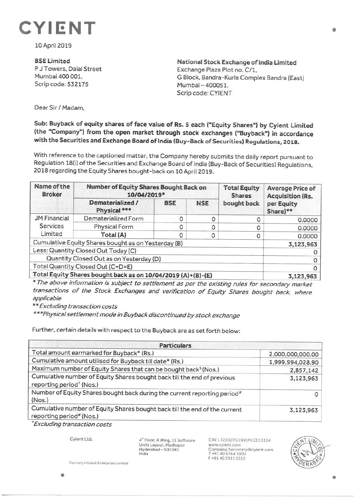

10 April 2019

**BSELimited**  P J Towers, Dalal Street Mumbai 400 001. Scrip code: 532175

**National Stock Exchange of India Limited**  Exchange Plaza Plot no. C/1, G Block, Bandra-Kurla Complex Bandra (East) Mumbai - 400051. Scrip code: CYIENT

Dear Sir/ Madam,

## **Sub: Buyback of equity shares of face value of Rs. S each ("Equity Shares") by Cyient Limited (the "Company") from the open market through stock exchanges ("Buyback") in accordance with the Securities and Exchange Board of India (Buy-Back of Securities) Regulations, 2018.**

With reference to the captioned matter, the Company hereby submits the daily report pursuant to Regulation 18(i) of the Securities and Exchange Board of India (Buy-Back of Securities) Regulations, 2018 regarding the Equity Shares bought-back on 10 April 2019.

| Name of the<br><b>Broker</b>                                 | Number of Equity Shares Bought Back on<br>10/04/2019* |            |            | <b>Total Equity</b><br><b>Shares</b> | <b>Average Price of</b><br><b>Acquisition (Rs.</b> |
|--------------------------------------------------------------|-------------------------------------------------------|------------|------------|--------------------------------------|----------------------------------------------------|
|                                                              | Dematerialized /<br>Physical***                       | <b>BSE</b> | <b>NSE</b> | bought back                          | per Equity<br>Share)**                             |
| <b>JM Financial</b><br>Services<br>Limited                   | Dematerialized Form                                   |            |            |                                      | 0.0000                                             |
|                                                              | Physical Form                                         | 0          |            |                                      | 0.0000                                             |
|                                                              | Total (A)                                             |            |            | 0                                    | 0.0000                                             |
| Cumulative Equity Shares bought as on Yesterday (B)          |                                                       |            |            |                                      | 3,123,963                                          |
| Less: Quantity Closed Out Today (C)                          |                                                       |            |            |                                      |                                                    |
| Quantity Closed Out as on Yesterday (D)                      |                                                       |            |            |                                      |                                                    |
| Total Quantity Closed Out (C+D=E)                            |                                                       |            |            |                                      |                                                    |
| Total Equity Shares bought back as on 10/04/2019 (A)+(B)-(E) |                                                       |            |            |                                      | 3,123,963                                          |

\* The above information is subject to settlement as per the existing rules for secondary market transactions of the Stock Exchanges and verification of Equity Shares bought back, where applicable

\* \*Excluding transaction costs

\*\*\*Physical settlement mode in Buyback discontinued by stock exchange

Further, certain details with respect to the Buyback are as set forth below:

| <b>Particulars</b>                                                                                              |                  |  |  |  |
|-----------------------------------------------------------------------------------------------------------------|------------------|--|--|--|
| Total amount earmarked for Buyback* (Rs.)                                                                       | 2,000,000,000.00 |  |  |  |
| Cumulative amount utilised for Buyback till date* (Rs.)                                                         | 1,999,994,028.90 |  |  |  |
| Maximum number of Equity Shares that can be bought back <sup>\$</sup> (Nos.)                                    | 2,857,142        |  |  |  |
| Cumulative number of Equity Shares bought back till the end of previous<br>reporting period <sup>^</sup> (Nos.) | 3,123,963        |  |  |  |
| Number of Equity Shares bought back during the current reporting period <sup>#</sup><br>(Nos.)                  | 0                |  |  |  |
| Cumulative number of Equity Shares bought back till the end of the current<br>reporting period# (Nos.)          | 3,123,963        |  |  |  |

<sup>~</sup>Excluding transaction costs

Cyient Ltd.

4" Floor, A Wing, 11 Software Units Layout. Madhapur Hyderabad - 500.081 India

CIN: L72200TG1991PLC013134 www.cyient.com Company.Secretary®cylent.com T +9140 6764 1000 F +914023110352



**Formerly Infotech Enterprises Limited**